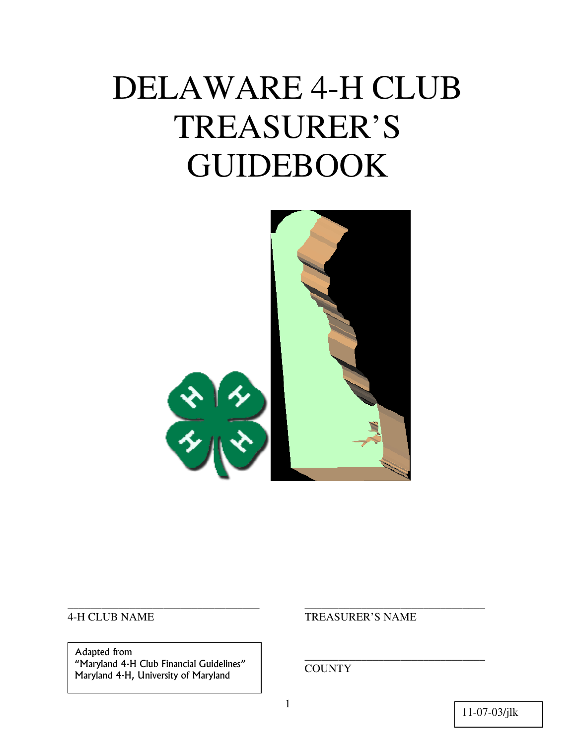# DELAWARE 4-H CLUB TREASURER'S GUIDEBOOK



Adapted from<br>
"Maryland 4-H Club Financial Guidelines" Piaryland 4-H, University of Maryland<br>Maryland 4-H, University of Maryland Adapted from

#### 4-H CLUB NAME TREASURER'S NAME

\_\_\_\_\_\_\_\_\_\_\_\_\_\_\_\_\_\_\_\_\_\_\_\_\_\_\_\_\_\_\_\_\_\_ \_\_\_\_\_\_\_\_\_\_\_\_\_\_\_\_\_\_\_\_\_\_\_\_\_\_\_\_\_\_\_\_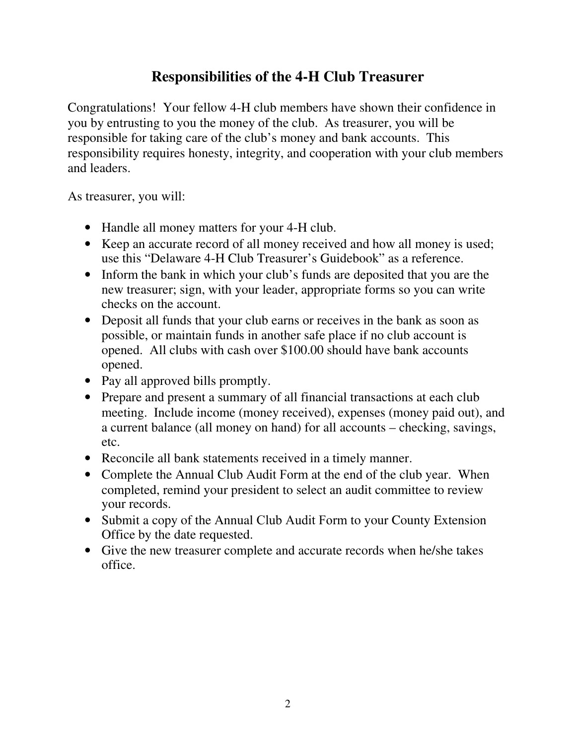# **Responsibilities of the 4-H Club Treasurer**

Congratulations! Your fellow 4-H club members have shown their confidence in you by entrusting to you the money of the club. As treasurer, you will be responsible for taking care of the club's money and bank accounts. This responsibility requires honesty, integrity, and cooperation with your club members and leaders.

As treasurer, you will:

- Handle all money matters for your 4-H club.
- Keep an accurate record of all money received and how all money is used; use this "Delaware 4-H Club Treasurer's Guidebook" as a reference.
- Inform the bank in which your club's funds are deposited that you are the new treasurer; sign, with your leader, appropriate forms so you can write checks on the account.
- Deposit all funds that your club earns or receives in the bank as soon as possible, or maintain funds in another safe place if no club account is opened. All clubs with cash over \$100.00 should have bank accounts opened.
- Pay all approved bills promptly.
- Prepare and present a summary of all financial transactions at each club meeting. Include income (money received), expenses (money paid out), and a current balance (all money on hand) for all accounts – checking, savings, etc.
- Reconcile all bank statements received in a timely manner.
- Complete the Annual Club Audit Form at the end of the club year. When completed, remind your president to select an audit committee to review your records.
- Submit a copy of the Annual Club Audit Form to your County Extension Office by the date requested.
- Give the new treasurer complete and accurate records when he/she takes office.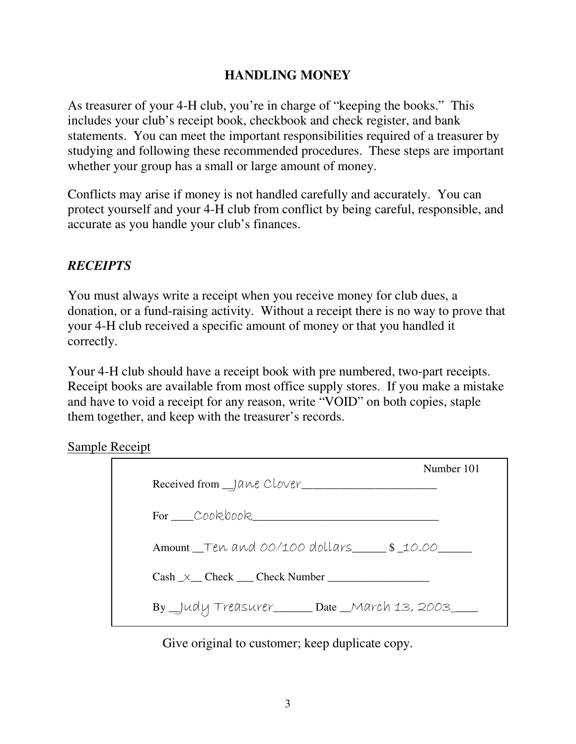## **HANDLING MONEY**

As treasurer of your 4-H club, you're in charge of "keeping the books." This includes your club's receipt book, checkbook and check register, and bank statements. You can meet the important responsibilities required of a treasurer by studying and following these recommended procedures. These steps are important whether your group has a small or large amount of money.

Conflicts may arise if money is not handled carefully and accurately. You can protect yourself and your 4-H club from conflict by being careful, responsible, and accurate as you handle your club's finances.

# *RECEIPTS*

You must always write a receipt when you receive money for club dues, a donation, or a fund-raising activity. Without a receipt there is no way to prove that your 4-H club received a specific amount of money or that you handled it correctly.

Your 4-H club should have a receipt book with pre numbered, two-part receipts. Receipt books are available from most office supply stores. If you make a mistake and have to void a receipt for any reason, write "VOID" on both copies, staple them together, and keep with the treasurer's records.

Sample Receipt

| Number 101                                                |
|-----------------------------------------------------------|
| Received from __ Jane Clover_______                       |
| For Cookbook                                              |
| Amount Ten and 00/100 dollars \$10.00                     |
| $Cash \ x \_ \text{Check} \_\text{Check} \_\text{Number}$ |
| By Judy Treasurer Date March 13, 2003                     |

Give original to customer; keep duplicate copy.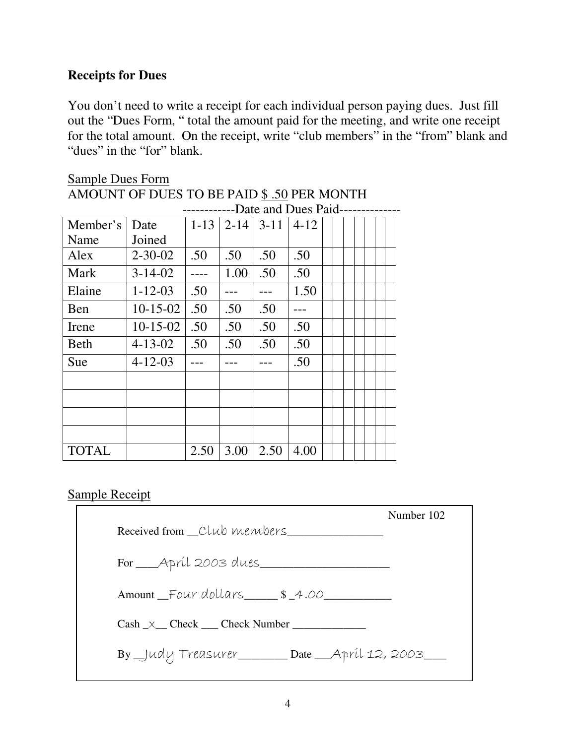## **Receipts for Dues**

You don't need to write a receipt for each individual person paying dues. Just fill out the "Dues Form, " total the amount paid for the meeting, and write one receipt for the total amount. On the receipt, write "club members" in the "from" blank and "dues" in the "for" blank.

# Sample Dues Form AMOUNT OF DUES TO BE PAID § .50 PER MONTH

|              |               |          |          |        | -Date and Dues Paid- |  |  |  |  |
|--------------|---------------|----------|----------|--------|----------------------|--|--|--|--|
| Member's     | Date          | $1 - 13$ | $2 - 14$ | $3-11$ | $4 - 12$             |  |  |  |  |
| Name         | Joined        |          |          |        |                      |  |  |  |  |
| Alex         | $2 - 30 - 02$ | .50      | .50      | .50    | .50                  |  |  |  |  |
| Mark         | $3 - 14 - 02$ |          | 1.00     | .50    | .50                  |  |  |  |  |
| Elaine       | $1 - 12 - 03$ | .50      |          |        | 1.50                 |  |  |  |  |
| Ben          | $10-15-02$    | .50      | .50      | .50    |                      |  |  |  |  |
| Irene        | $10-15-02$    | .50      | .50      | .50    | .50                  |  |  |  |  |
| <b>Beth</b>  | $4 - 13 - 02$ | .50      | .50      | .50    | .50                  |  |  |  |  |
| Sue          | $4 - 12 - 03$ |          |          |        | .50                  |  |  |  |  |
|              |               |          |          |        |                      |  |  |  |  |
|              |               |          |          |        |                      |  |  |  |  |
|              |               |          |          |        |                      |  |  |  |  |
|              |               |          |          |        |                      |  |  |  |  |
| <b>TOTAL</b> |               | 2.50     | 3.00     | 2.50   | 4.00                 |  |  |  |  |

#### Sample Receipt

|                                                    | Number 102 |
|----------------------------------------------------|------------|
| Received from _Club members                        |            |
| For _____ April 2003 dues                          |            |
| Amount Four dollars \$4.00                         |            |
| $Cash \times Check \text{Check}$                   |            |
| By _Judy Treasurer_______ Date __April 12, 2003___ |            |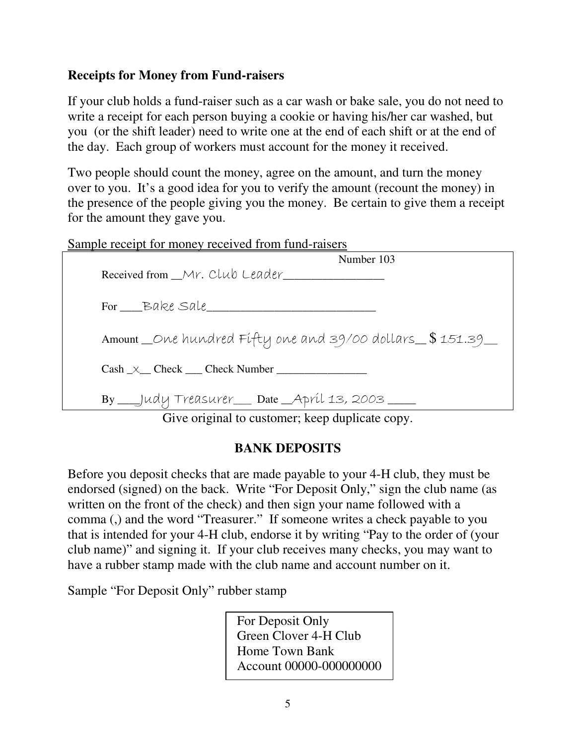#### **Receipts for Money from Fund-raisers**

If your club holds a fund-raiser such as a car wash or bake sale, you do not need to write a receipt for each person buying a cookie or having his/her car washed, but you (or the shift leader) need to write one at the end of each shift or at the end of the day. Each group of workers must account for the money it received.

Two people should count the money, agree on the amount, and turn the money over to you. It's a good idea for you to verify the amount (recount the money) in the presence of the people giving you the money. Be certain to give them a receipt for the amount they gave you.

#### Sample receipt for money received from fund-raisers

| Number 103                                                                                                                                                                    |
|-------------------------------------------------------------------------------------------------------------------------------------------------------------------------------|
| Received from Mr. Club Leader                                                                                                                                                 |
|                                                                                                                                                                               |
| For Bake Sale                                                                                                                                                                 |
|                                                                                                                                                                               |
| Amount_One hundred Fifty one and 39/00 dollars_\$151.39_                                                                                                                      |
|                                                                                                                                                                               |
| $Cash \_\times$ Check Check Number                                                                                                                                            |
|                                                                                                                                                                               |
| By ___Judy Treasurer __ Date _April 13, 2003 ___                                                                                                                              |
| $\alpha$ : $\alpha$ , $\alpha$ , $\alpha$ , $\alpha$ , $\alpha$ , $\alpha$ , $\alpha$ , $\alpha$ , $\alpha$ , $\alpha$ , $\alpha$ , $\alpha$ , $\alpha$ , $\alpha$ , $\alpha$ |

Give original to customer; keep duplicate copy.

#### **BANK DEPOSITS**

Before you deposit checks that are made payable to your 4-H club, they must be endorsed (signed) on the back. Write "For Deposit Only," sign the club name (as written on the front of the check) and then sign your name followed with a comma (,) and the word "Treasurer." If someone writes a check payable to you that is intended for your 4-H club, endorse it by writing "Pay to the order of (your club name)" and signing it. If your club receives many checks, you may want to have a rubber stamp made with the club name and account number on it.

Sample "For Deposit Only" rubber stamp

For Deposit Only Green Clover 4-H Club Home Town Bank Account 00000-000000000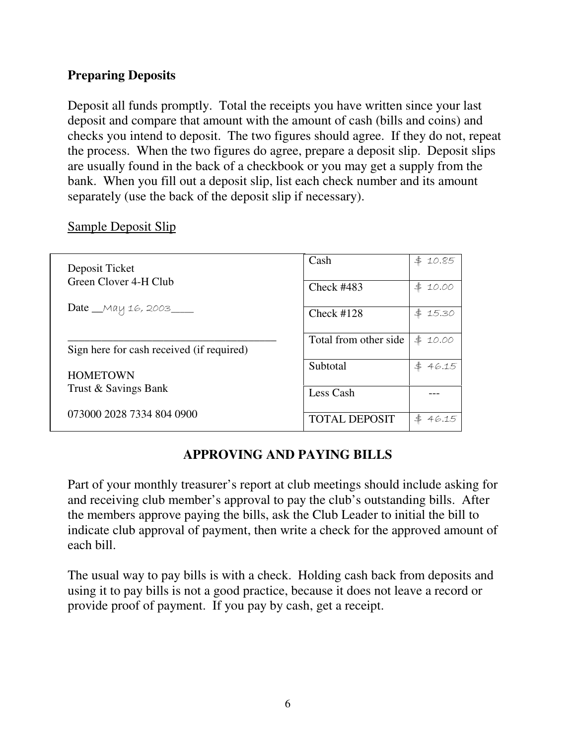#### **Preparing Deposits**

Deposit all funds promptly. Total the receipts you have written since your last deposit and compare that amount with the amount of cash (bills and coins) and checks you intend to deposit. The two figures should agree. If they do not, repeat the process. When the two figures do agree, prepare a deposit slip. Deposit slips are usually found in the back of a checkbook or you may get a supply from the bank. When you fill out a deposit slip, list each check number and its amount separately (use the back of the deposit slip if necessary).

| Deposit Ticket                            | Cash                  | 10.85<br>\$         |
|-------------------------------------------|-----------------------|---------------------|
| Green Clover 4-H Club                     | Check $#483$          | \$<br>10.00         |
| Date __May 16, 2003____                   | Check $#128$          | \$<br>15.30         |
|                                           | Total from other side | $\ddagger$<br>10.00 |
| Sign here for cash received (if required) |                       |                     |
| <b>HOMETOWN</b>                           | Subtotal              | \$<br>46.15         |
| Trust & Savings Bank                      | Less Cash             |                     |
| 073000 2028 7334 804 0900                 | <b>TOTAL DEPOSIT</b>  | \$<br>46.15         |

#### Sample Deposit Slip

# **APPROVING AND PAYING BILLS**

Part of your monthly treasurer's report at club meetings should include asking for and receiving club member's approval to pay the club's outstanding bills. After the members approve paying the bills, ask the Club Leader to initial the bill to indicate club approval of payment, then write a check for the approved amount of each bill.

The usual way to pay bills is with a check. Holding cash back from deposits and using it to pay bills is not a good practice, because it does not leave a record or provide proof of payment. If you pay by cash, get a receipt.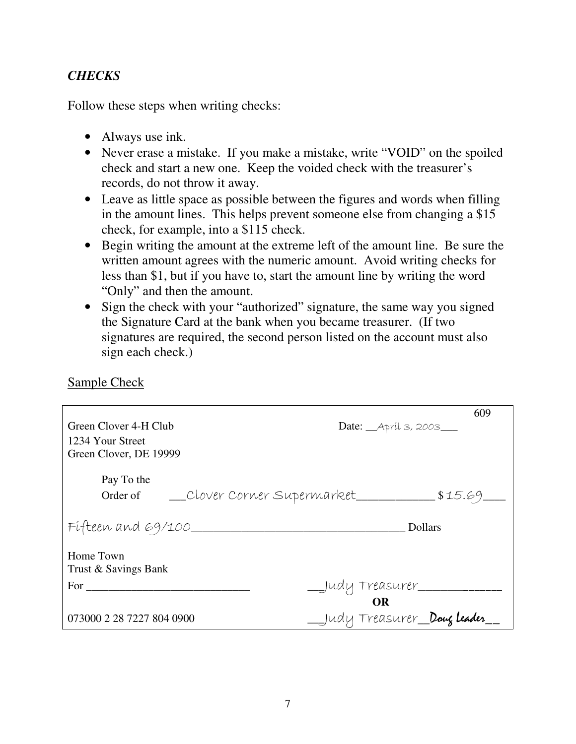## *CHECKS*

Follow these steps when writing checks:

- Always use ink.
- Never erase a mistake. If you make a mistake, write "VOID" on the spoiled check and start a new one. Keep the voided check with the treasurer's records, do not throw it away.
- Leave as little space as possible between the figures and words when filling in the amount lines. This helps prevent someone else from changing a \$15 check, for example, into a \$115 check.
- Begin writing the amount at the extreme left of the amount line. Be sure the written amount agrees with the numeric amount. Avoid writing checks for less than \$1, but if you have to, start the amount line by writing the word "Only" and then the amount.
- Sign the check with your "authorized" signature, the same way you signed the Signature Card at the bank when you became treasurer. (If two signatures are required, the second person listed on the account must also sign each check.)

Sample Check

|                                           | 609                                                                        |
|-------------------------------------------|----------------------------------------------------------------------------|
| Green Clover 4-H Club                     | Date: ___ Apríl 3, 2003___                                                 |
| 1234 Your Street                          |                                                                            |
| Green Clover, DE 19999                    |                                                                            |
|                                           |                                                                            |
| Pay To the                                |                                                                            |
| Order of Clover Corner Supermarket 515.69 |                                                                            |
|                                           |                                                                            |
| Fifteen and $69/100$                      | <b>Dollars</b><br><u> 1989 - Johann John Stone, mars eta biztanleria (</u> |
|                                           |                                                                            |
| Home Town                                 |                                                                            |
| Trust & Savings Bank                      |                                                                            |
| For $\qquad$                              | __Judy Treasurer__________                                                 |
|                                           | <b>OR</b>                                                                  |
| 073000 2 28 7227 804 0900                 | _Judy Treasurer_Doug leader_                                               |
|                                           |                                                                            |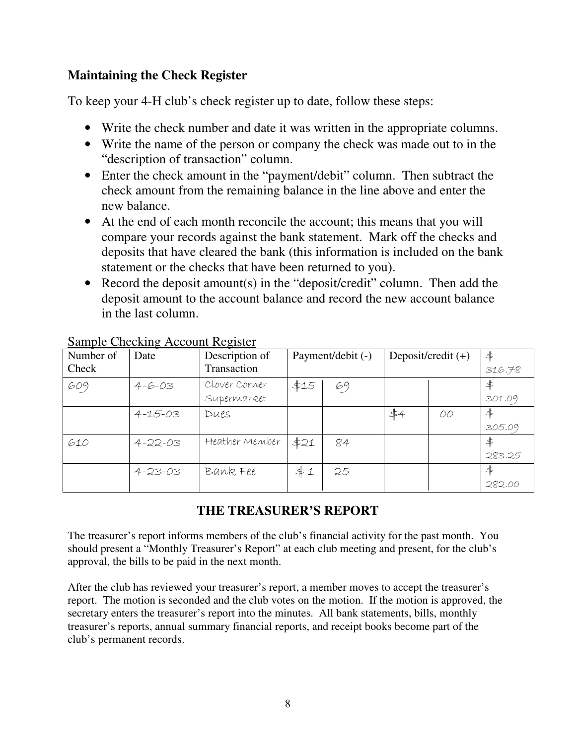#### **Maintaining the Check Register**

To keep your 4-H club's check register up to date, follow these steps:

- Write the check number and date it was written in the appropriate columns.
- Write the name of the person or company the check was made out to in the "description of transaction" column.
- Enter the check amount in the "payment/debit" column. Then subtract the check amount from the remaining balance in the line above and enter the new balance.
- At the end of each month reconcile the account; this means that you will compare your records against the bank statement. Mark off the checks and deposits that have cleared the bank (this information is included on the bank statement or the checks that have been returned to you).
- Record the deposit amount(s) in the "deposit/credit" column. Then add the deposit amount to the account balance and record the new account balance in the last column.

| Number of | Date          | Description of | Payment/debit (-) |    | Deposit/credit $(+)$ |    | \$     |
|-----------|---------------|----------------|-------------------|----|----------------------|----|--------|
| Check     |               | Transaction    |                   |    |                      |    | 316.78 |
| 609       | $4 - 6 - 03$  | Clover Corner  | \$15              | 69 |                      |    | \$     |
|           |               | Supermarket    |                   |    |                      |    | 301.09 |
|           | $4 - 15 - 03$ | Dues           |                   |    | \$4                  | OO | ≰      |
|           |               |                |                   |    |                      |    | 305.09 |
| 610       | $4 - 22 - 03$ | Heather Member | \$21              | 84 |                      |    | \$     |
|           |               |                |                   |    |                      |    | 283.25 |
|           | $4 - 23 - 03$ | Bank Fee       | #1                | 25 |                      |    | \$     |
|           |               |                |                   |    |                      |    | 282.00 |

#### Sample Checking Account Register

# **THE TREASURER'S REPORT**

The treasurer's report informs members of the club's financial activity for the past month. You should present a "Monthly Treasurer's Report" at each club meeting and present, for the club's approval, the bills to be paid in the next month.

After the club has reviewed your treasurer's report, a member moves to accept the treasurer's report. The motion is seconded and the club votes on the motion. If the motion is approved, the secretary enters the treasurer's report into the minutes. All bank statements, bills, monthly treasurer's reports, annual summary financial reports, and receipt books become part of the club's permanent records.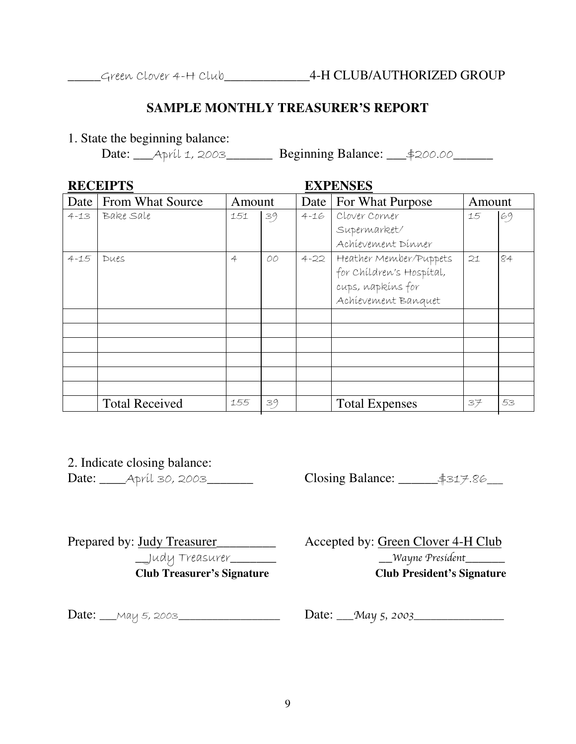#### **SAMPLE MONTHLY TREASURER'S REPORT**

1. State the beginning balance:

Date: \_\_\_April 1, 2003\_\_\_\_\_\_\_ Beginning Balance: \_\_\_\$200.00\_\_\_\_\_\_

| <b>RECEIPTS</b> |                         |                |    | <b>EXPENSES</b> |                                                                                                |    |    |                          |  |        |  |
|-----------------|-------------------------|----------------|----|-----------------|------------------------------------------------------------------------------------------------|----|----|--------------------------|--|--------|--|
| Date            | <b>From What Source</b> | Amount         |    |                 |                                                                                                |    |    | For What Purpose<br>Date |  | Amount |  |
| $4 - 13$        | Bake Sale               | 151            | 39 | $4 - 16$        | Clover Corner<br>Supermarket/<br>Achievement Dinner                                            | 15 | 69 |                          |  |        |  |
| $4 - 15$        | Dues                    | $\overline{4}$ | 00 | $4 - 22$        | Heather Member/Puppets<br>for Children's Hospital,<br>cups, napkins for<br>Achievement Banquet | 21 | 84 |                          |  |        |  |
|                 |                         |                |    |                 |                                                                                                |    |    |                          |  |        |  |
|                 |                         |                |    |                 |                                                                                                |    |    |                          |  |        |  |
|                 |                         |                |    |                 |                                                                                                |    |    |                          |  |        |  |
|                 |                         |                |    |                 |                                                                                                |    |    |                          |  |        |  |
|                 |                         |                |    |                 |                                                                                                |    |    |                          |  |        |  |
|                 |                         |                |    |                 |                                                                                                |    |    |                          |  |        |  |
|                 | <b>Total Received</b>   | 155            | 39 |                 | <b>Total Expenses</b>                                                                          | 37 | 53 |                          |  |        |  |

2. Indicate closing balance:

Date: \_\_\_\_\_Apríl 30, 2003\_\_\_\_\_\_\_ Closing Balance: \_\_\_\_\_\_\_\$317.86\_\_\_

 $\Box$ udy Treasurer $\Box$ **Undy Treasurer's Signature**<br> **Club Treasurer's Signature** Club President's Signature

Prepared by: Judy Treasurer\_\_\_\_\_\_\_\_\_ Accepted by: Green Clover 4-H Club

**Club Treasurer's Signature Club President's Signature** 

 $Date:$   $_$ *May 5, 2003*  $_$  Date:  $_$ May 5, 2003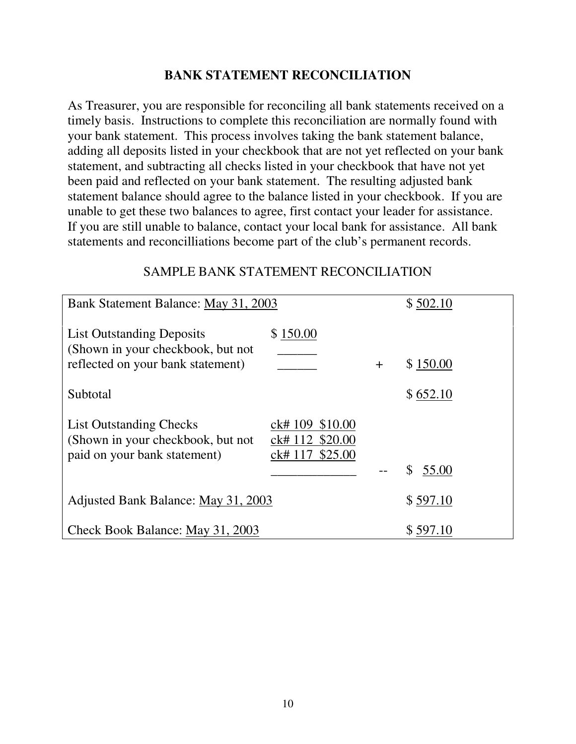#### **BANK STATEMENT RECONCILIATION**

As Treasurer, you are responsible for reconciling all bank statements received on a timely basis. Instructions to complete this reconciliation are normally found with your bank statement. This process involves taking the bank statement balance, adding all deposits listed in your checkbook that are not yet reflected on your bank statement, and subtracting all checks listed in your checkbook that have not yet been paid and reflected on your bank statement. The resulting adjusted bank statement balance should agree to the balance listed in your checkbook. If you are unable to get these two balances to agree, first contact your leader for assistance. If you are still unable to balance, contact your local bank for assistance. All bank statements and reconcilliations become part of the club's permanent records.

#### SAMPLE BANK STATEMENT RECONCILIATION

| Bank Statement Balance: May 31, 2003                                                                |                                                          |          | \$502.10    |
|-----------------------------------------------------------------------------------------------------|----------------------------------------------------------|----------|-------------|
| <b>List Outstanding Deposits</b>                                                                    | \$150.00                                                 |          |             |
| (Shown in your checkbook, but not<br>reflected on your bank statement)                              |                                                          | $\pm$    | \$150.00    |
| Subtotal                                                                                            |                                                          |          | \$652.10    |
| <b>List Outstanding Checks</b><br>(Shown in your checkbook, but not<br>paid on your bank statement) | \$10.00<br>ck# 109<br>ck# 112 \$20.00<br>ck# 117 \$25.00 |          |             |
|                                                                                                     |                                                          |          | 55.00<br>\$ |
| Adjusted Bank Balance: May 31, 2003                                                                 |                                                          |          | \$597.10    |
| Check Book Balance: May 31, 2003                                                                    |                                                          | \$597.10 |             |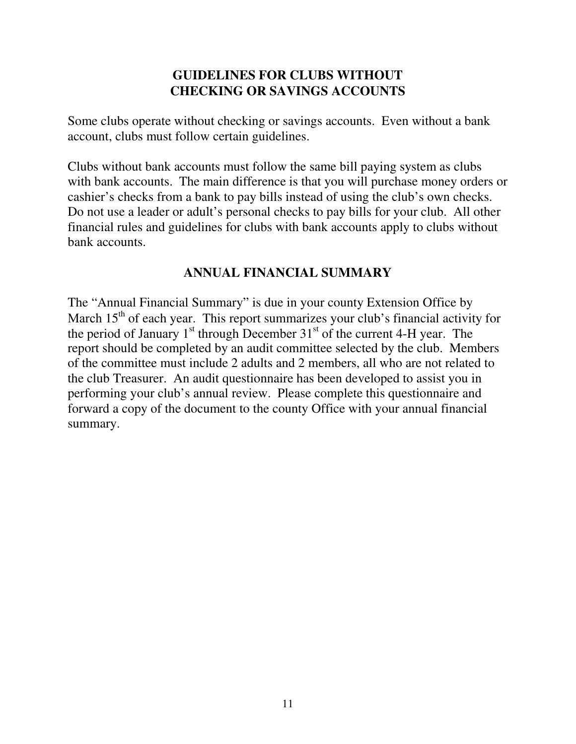## **GUIDELINES FOR CLUBS WITHOUT CHECKING OR SAVINGS ACCOUNTS**

Some clubs operate without checking or savings accounts. Even without a bank account, clubs must follow certain guidelines.

Clubs without bank accounts must follow the same bill paying system as clubs with bank accounts. The main difference is that you will purchase money orders or cashier's checks from a bank to pay bills instead of using the club's own checks. Do not use a leader or adult's personal checks to pay bills for your club. All other financial rules and guidelines for clubs with bank accounts apply to clubs without bank accounts.

# **ANNUAL FINANCIAL SUMMARY**

The "Annual Financial Summary" is due in your county Extension Office by March  $15<sup>th</sup>$  of each year. This report summarizes your club's financial activity for the period of January  $1<sup>st</sup>$  through December  $31<sup>st</sup>$  of the current 4-H year. The report should be completed by an audit committee selected by the club. Members of the committee must include 2 adults and 2 members, all who are not related to the club Treasurer. An audit questionnaire has been developed to assist you in performing your club's annual review. Please complete this questionnaire and forward a copy of the document to the county Office with your annual financial summary.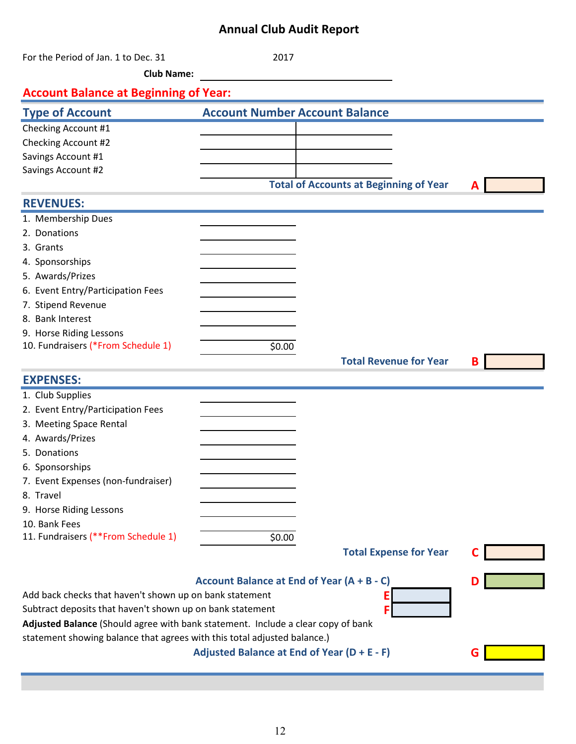# **Annual Club Audit Report**

| For the Period of Jan. 1 to Dec. 31<br><b>Club Name:</b>                         | 2017                                          |                               |   |  |
|----------------------------------------------------------------------------------|-----------------------------------------------|-------------------------------|---|--|
|                                                                                  |                                               |                               |   |  |
| <b>Account Balance at Beginning of Year:</b>                                     |                                               |                               |   |  |
| <b>Type of Account</b>                                                           | <b>Account Number Account Balance</b>         |                               |   |  |
| Checking Account #1                                                              |                                               |                               |   |  |
| Checking Account #2                                                              |                                               |                               |   |  |
| Savings Account #1                                                               |                                               |                               |   |  |
| Savings Account #2                                                               |                                               |                               |   |  |
|                                                                                  | <b>Total of Accounts at Beginning of Year</b> |                               |   |  |
| <b>REVENUES:</b>                                                                 |                                               |                               |   |  |
| 1. Membership Dues                                                               |                                               |                               |   |  |
| 2. Donations                                                                     |                                               |                               |   |  |
| 3. Grants                                                                        |                                               |                               |   |  |
| 4. Sponsorships                                                                  |                                               |                               |   |  |
| 5. Awards/Prizes                                                                 |                                               |                               |   |  |
| 6. Event Entry/Participation Fees                                                |                                               |                               |   |  |
| 7. Stipend Revenue                                                               |                                               |                               |   |  |
| 8. Bank Interest                                                                 |                                               |                               |   |  |
| 9. Horse Riding Lessons<br>10. Fundraisers (*From Schedule 1)                    | \$0.00                                        |                               |   |  |
|                                                                                  |                                               | <b>Total Revenue for Year</b> |   |  |
|                                                                                  |                                               |                               | B |  |
| <b>EXPENSES:</b>                                                                 |                                               |                               |   |  |
| 1. Club Supplies                                                                 |                                               |                               |   |  |
| 2. Event Entry/Participation Fees                                                |                                               |                               |   |  |
| 3. Meeting Space Rental                                                          |                                               |                               |   |  |
| 4. Awards/Prizes                                                                 |                                               |                               |   |  |
| 5. Donations                                                                     |                                               |                               |   |  |
| 6. Sponsorships                                                                  |                                               |                               |   |  |
| 7. Event Expenses (non-fundraiser)                                               |                                               |                               |   |  |
| 8. Travel                                                                        |                                               |                               |   |  |
| 9. Horse Riding Lessons                                                          |                                               |                               |   |  |
| 10. Bank Fees<br>11. Fundraisers (**From Schedule 1)                             | \$0.00                                        |                               |   |  |
|                                                                                  |                                               | <b>Total Expense for Year</b> |   |  |
|                                                                                  |                                               |                               |   |  |
|                                                                                  | Account Balance at End of Year (A + B - C)    |                               |   |  |
| Add back checks that haven't shown up on bank statement                          |                                               | Ε                             |   |  |
| Subtract deposits that haven't shown up on bank statement                        |                                               | F                             |   |  |
| Adjusted Balance (Should agree with bank statement. Include a clear copy of bank |                                               |                               |   |  |
| statement showing balance that agrees with this total adjusted balance.)         |                                               |                               |   |  |
|                                                                                  | Adjusted Balance at End of Year (D + E - F)   |                               | G |  |
|                                                                                  |                                               |                               |   |  |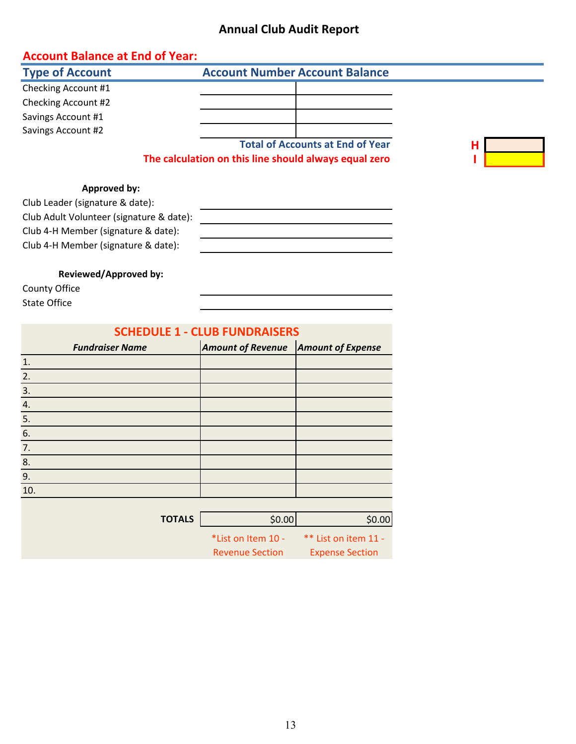#### **Annual Club Audit Report**

#### **Account Balance at End of Year:**

| <b>Type of Account</b> | <b>Account Number Account Balance</b>                 |   |
|------------------------|-------------------------------------------------------|---|
| Checking Account #1    |                                                       |   |
| Checking Account #2    |                                                       |   |
| Savings Account #1     |                                                       |   |
| Savings Account #2     |                                                       |   |
|                        | <b>Total of Accounts at End of Year</b>               | Н |
|                        | The calculation on this line should always equal zero |   |

#### **Approved by:**

Club Leader (signature & date): Club Adult Volunteer (signature & date): Club 4-H Member (signature & date): Club 4-H Member (signature & date):

**Reviewed/Approved by:**

County Office State Office

| <b>SCHEDULE 1 - CLUB FUNDRAISERS</b> |                        |                          |                          |  |  |  |  |
|--------------------------------------|------------------------|--------------------------|--------------------------|--|--|--|--|
|                                      | <b>Fundraiser Name</b> | <b>Amount of Revenue</b> | <b>Amount of Expense</b> |  |  |  |  |
| 1.                                   |                        |                          |                          |  |  |  |  |
| 2.                                   |                        |                          |                          |  |  |  |  |
| 3.                                   |                        |                          |                          |  |  |  |  |
| 4.                                   |                        |                          |                          |  |  |  |  |
| 5.                                   |                        |                          |                          |  |  |  |  |
| 6.                                   |                        |                          |                          |  |  |  |  |
| 7.                                   |                        |                          |                          |  |  |  |  |
| 8.                                   |                        |                          |                          |  |  |  |  |
| 9.                                   |                        |                          |                          |  |  |  |  |
| 10.                                  |                        |                          |                          |  |  |  |  |
|                                      |                        |                          |                          |  |  |  |  |
|                                      | <b>TOTALS</b>          | \$0.00                   | \$0.00                   |  |  |  |  |
|                                      |                        | *List on Item 10 -       | ** List on item 11 -     |  |  |  |  |
|                                      |                        | <b>Revenue Section</b>   | <b>Expense Section</b>   |  |  |  |  |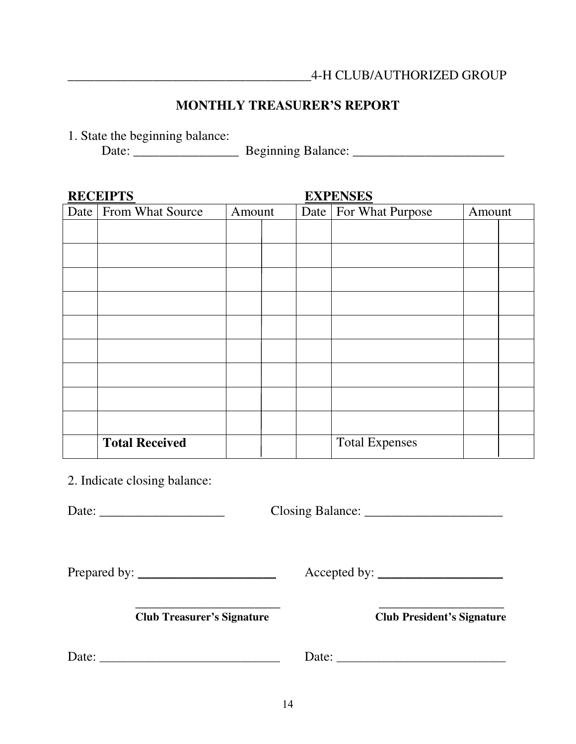# **MONTHLY TREASURER'S REPORT**

1. State the beginning balance:

Date: \_\_\_\_\_\_\_\_\_\_\_\_\_\_\_\_ Beginning Balance: \_\_\_\_\_\_\_\_\_\_\_\_\_\_\_\_\_\_\_\_\_\_\_

| <b>RECEIPTS</b>         |        |  |      |                         |        |  |
|-------------------------|--------|--|------|-------------------------|--------|--|
| Date   From What Source | Amount |  | Date | <b>For What Purpose</b> | Amount |  |
|                         |        |  |      |                         |        |  |
|                         |        |  |      |                         |        |  |
|                         |        |  |      |                         |        |  |
|                         |        |  |      |                         |        |  |
|                         |        |  |      |                         |        |  |
|                         |        |  |      |                         |        |  |
|                         |        |  |      |                         |        |  |
|                         |        |  |      |                         |        |  |
|                         |        |  |      |                         |        |  |
|                         |        |  |      |                         |        |  |
| <b>Total Received</b>   |        |  |      | <b>Total Expenses</b>   |        |  |

2. Indicate closing balance:

Date: \_\_\_\_\_\_\_\_\_\_\_\_\_\_\_\_\_\_\_ Closing Balance: \_\_\_\_\_\_\_\_\_\_\_\_\_\_\_\_\_\_\_\_\_

Prepared by: \_\_\_\_\_\_\_\_\_\_\_\_\_\_\_\_\_\_\_\_\_ Accepted by: \_\_\_\_\_\_\_\_\_\_\_\_\_\_\_\_\_\_\_

\_\_\_\_\_\_\_\_\_\_\_\_\_\_\_\_\_\_\_\_\_\_ \_\_\_\_\_\_\_\_\_\_\_\_\_\_\_\_\_\_\_ **Club Treasurer's Signature Club President's Signature** 

Date: \_\_\_\_\_\_\_\_\_\_\_\_\_\_\_\_\_\_\_\_\_\_\_\_\_\_\_\_\_\_\_\_ Date: \_\_\_\_\_\_\_\_\_\_\_\_\_\_\_\_\_\_\_\_\_\_\_\_\_\_\_\_\_\_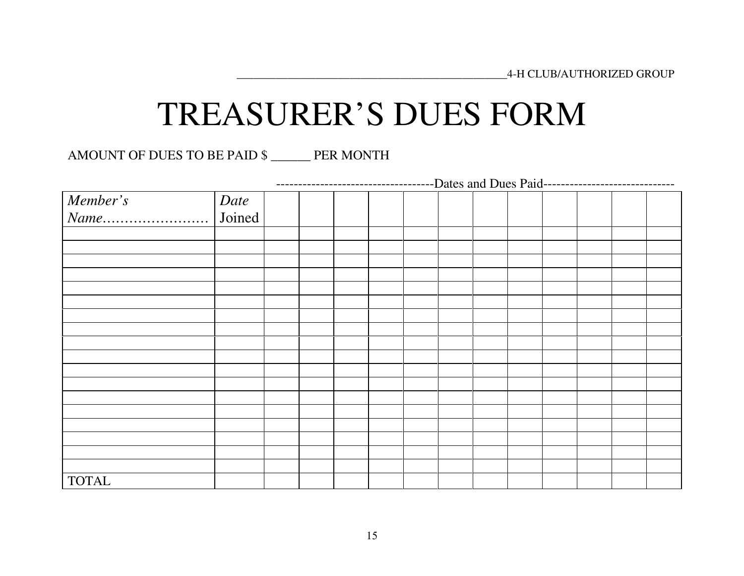# TREASURER'S DUES FORM

AMOUNT OF DUES TO BE PAID \$ \_\_\_\_\_\_ PER MONTH

|              | ------------------------------Dates and Dues Paid------------------------------- |  |  |  |  |  |  |  |  |  |  |  |
|--------------|----------------------------------------------------------------------------------|--|--|--|--|--|--|--|--|--|--|--|
| Member's     | Date                                                                             |  |  |  |  |  |  |  |  |  |  |  |
|              | Joined                                                                           |  |  |  |  |  |  |  |  |  |  |  |
|              |                                                                                  |  |  |  |  |  |  |  |  |  |  |  |
|              |                                                                                  |  |  |  |  |  |  |  |  |  |  |  |
|              |                                                                                  |  |  |  |  |  |  |  |  |  |  |  |
|              |                                                                                  |  |  |  |  |  |  |  |  |  |  |  |
|              |                                                                                  |  |  |  |  |  |  |  |  |  |  |  |
|              |                                                                                  |  |  |  |  |  |  |  |  |  |  |  |
|              |                                                                                  |  |  |  |  |  |  |  |  |  |  |  |
|              |                                                                                  |  |  |  |  |  |  |  |  |  |  |  |
|              |                                                                                  |  |  |  |  |  |  |  |  |  |  |  |
|              |                                                                                  |  |  |  |  |  |  |  |  |  |  |  |
|              |                                                                                  |  |  |  |  |  |  |  |  |  |  |  |
|              |                                                                                  |  |  |  |  |  |  |  |  |  |  |  |
|              |                                                                                  |  |  |  |  |  |  |  |  |  |  |  |
|              |                                                                                  |  |  |  |  |  |  |  |  |  |  |  |
|              |                                                                                  |  |  |  |  |  |  |  |  |  |  |  |
|              |                                                                                  |  |  |  |  |  |  |  |  |  |  |  |
|              |                                                                                  |  |  |  |  |  |  |  |  |  |  |  |
|              |                                                                                  |  |  |  |  |  |  |  |  |  |  |  |
| <b>TOTAL</b> |                                                                                  |  |  |  |  |  |  |  |  |  |  |  |